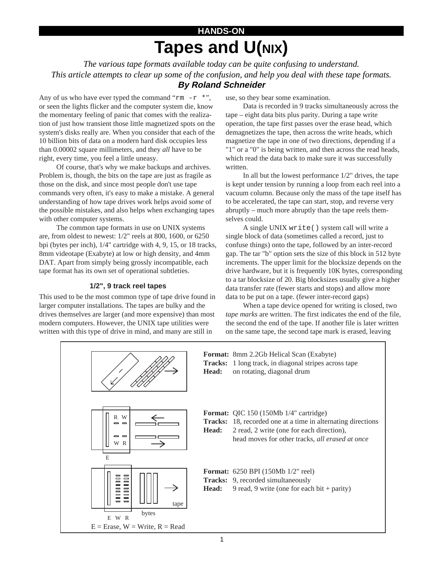# **HANDS-ON Tapes and U(NIX)**

*The various tape formats available today can be quite confusing to understand. This article attempts to clear up some of the confusion, and help you deal with these tape formats.* **By Roland Schneider**

Any of us who have ever typed the command "rm  $-r \cdot r$ ", or seen the lights flicker and the computer system die, know the momentary feeling of panic that comes with the realization of just how transient those little magnetized spots on the system's disks really are. When you consider that each of the 10 billion bits of data on a modern hard disk occupies less than 0.00002 square millimeters, and they *all* have to be right, every time, you feel a little uneasy.

Of course, that's why we make backups and archives. Problem is, though, the bits on the tape are just as fragile as those on the disk, and since most people don't use tape commands very often, it's easy to make a mistake. A general understanding of how tape drives work helps avoid *some* of the possible mistakes, and also helps when exchanging tapes with other computer systems.

The common tape formats in use on UNIX systems are, from oldest to newest: 1/2" reels at 800, 1600, or 6250 bpi (bytes per inch), 1/4" cartridge with 4, 9, 15, or 18 tracks, 8mm videotape (Exabyte) at low or high density, and 4mm DAT. Apart from simply being grossly incompatible, each tape format has its own set of operational subtleties.

## **1/2", 9 track reel tapes**

This used to be the most common type of tape drive found in larger computer installations. The tapes are bulky and the drives themselves are larger (and more expensive) than most modern computers. However, the UNIX tape utilities were written with this type of drive in mind, and many are still in

use, so they bear some examination.

Data is recorded in 9 tracks simultaneously across the tape – eight data bits plus parity. During a tape write operation, the tape first passes over the erase head, which demagnetizes the tape, then across the write heads, which magnetize the tape in one of two directions, depending if a "1" or a "0" is being written, and then across the read heads, which read the data back to make sure it was successfully written.

In all but the lowest performance 1/2" drives, the tape is kept under tension by running a loop from each reel into a vacuum column. Because only the mass of the tape itself has to be accelerated, the tape can start, stop, and reverse very abruptly – much more abruptly than the tape reels themselves could.

A single UNIX write() system call will write a single block of data (sometimes called a record, just to confuse things) onto the tape, followed by an inter-record gap. The tar "b" option sets the size of this block in 512 byte increments. The upper limit for the blocksize depends on the drive hardware, but it is frequently 10K bytes, corresponding to a tar blocksize of 20. Big blocksizes usually give a higher data transfer rate (fewer starts and stops) and allow more data to be put on a tape. (fewer inter-record gaps)

When a tape device opened for writing is closed, two *tape marks* are written. The first indicates the end of the file, the second the end of the tape. If another file is later written on the same tape, the second tape mark is erased, leaving

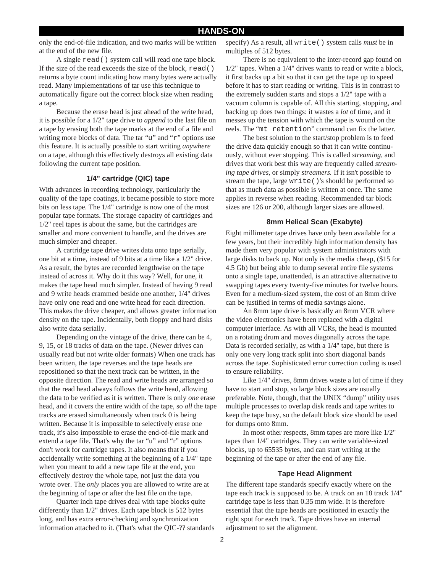only the end-of-file indication, and two marks will be written at the end of the new file.

A single read() system call will read one tape block. If the size of the read exceeds the size of the block,  $\text{read}( )$ returns a byte count indicating how many bytes were actually read. Many implementations of tar use this technique to automatically figure out the correct block size when reading a tape.

Because the erase head is just ahead of the write head, it is possible for a 1/2" tape drive to *append* to the last file on a tape by erasing both the tape marks at the end of a file and writing more blocks of data. The tar "u" and "r" options use this feature. It is actually possible to start writing *anywhere* on a tape, although this effectively destroys all existing data following the current tape position.

### **1/4" cartridge (QIC) tape**

With advances in recording technology, particularly the quality of the tape coatings, it became possible to store more bits on less tape. The 1/4" cartridge is now one of the most popular tape formats. The storage capacity of cartridges and 1/2" reel tapes is about the same, but the cartridges are smaller and more convenient to handle, and the drives are much simpler and cheaper.

A cartridge tape drive writes data onto tape serially, one bit at a time, instead of 9 bits at a time like a 1/2" drive. As a result, the bytes are recorded lengthwise on the tape instead of across it. Why do it this way? Well, for one, it makes the tape head much simpler. Instead of having 9 read and 9 write heads crammed beside one another, 1/4" drives have only one read and one write head for each direction. This makes the drive cheaper, and allows greater information density on the tape. Incidentally, both floppy and hard disks also write data serially.

Depending on the vintage of the drive, there can be 4, 9, 15, or 18 tracks of data on the tape. (Newer drives can usually read but not write older formats) When one track has been written, the tape reverses and the tape heads are repositioned so that the next track can be written, in the opposite direction. The read and write heads are arranged so that the read head always follows the write head, allowing the data to be verified as it is written. There is only *one* erase head, and it covers the entire width of the tape, so *all* the tape tracks are erased simultaneously when track 0 is being written. Because it is impossible to selectively erase one track, it's also impossible to erase the end-of-file mark and extend a tape file. That's why the tar "u" and "r" options don't work for cartridge tapes. It also means that if you accidentally write something at the beginning of a 1/4" tape when you meant to add a new tape file at the end, you effectively destroy the whole tape, not just the data you wrote over. The *only* places you are allowed to write are at the beginning of tape or after the last file on the tape.

Quarter inch tape drives deal with tape blocks quite differently than 1/2" drives. Each tape block is 512 bytes long, and has extra error-checking and synchronization information attached to it. (That's what the QIC-?? standards specify) As a result, all write() system calls *must* be in multiples of 512 bytes.

There is no equivalent to the inter-record gap found on 1/2" tapes. When a 1/4" drives wants to read or write a block, it first backs up a bit so that it can get the tape up to speed before it has to start reading or writing. This is in contrast to the extremely sudden starts and stops a 1/2" tape with a vacuum column is capable of. All this starting, stopping, and backing up does two things: it wastes a *lot* of time, and it messes up the tension with which the tape is wound on the reels. The "mt retention" command can fix the latter.

The best solution to the start/stop problem is to feed the drive data quickly enough so that it can write continuously, without ever stopping. This is called *streaming,* and drives that work best this way are frequently called *streaming tape drives,* or simply *streamers.* If it isn't possible to stream the tape, large write()'s should be performed so that as much data as possible is written at once. The same applies in reverse when reading. Recommended tar block sizes are 126 or 200, although larger sizes are allowed.

#### **8mm Helical Scan (Exabyte)**

Eight millimeter tape drives have only been available for a few years, but their incredibly high information density has made them very popular with system administrators with large disks to back up. Not only is the media cheap, (\$15 for 4.5 Gb) but being able to dump several entire file systems onto a single tape, unattended, is an attractive alternative to swapping tapes every twenty-five minutes for twelve hours. Even for a medium-sized system, the cost of an 8mm drive can be justified in terms of media savings alone.

An 8mm tape drive is basically an 8mm VCR where the video electronics have been replaced with a digital computer interface. As with all VCRs, the head is mounted on a rotating drum and moves diagonally across the tape. Data is recorded serially, as with a 1/4" tape, but there is only one very long track split into short diagonal bands across the tape. Sophisticated error correction coding is used to ensure reliability.

Like 1/4" drives, 8mm drives waste a lot of time if they have to start and stop, so large block sizes are usually preferable. Note, though, that the UNIX "dump" utility uses multiple processes to overlap disk reads and tape writes to keep the tape busy, so the default block size should be used for dumps onto 8mm.

In most other respects, 8mm tapes are more like 1/2" tapes than 1/4" cartridges. They can write variable-sized blocks, up to 65535 bytes, and can start writing at the beginning of the tape or after the end of any file.

#### **Tape Head Alignment**

The different tape standards specify exactly where on the tape each track is supposed to be. A track on an 18 track 1/4" cartridge tape is less than 0.35 mm wide. It is therefore essential that the tape heads are positioned in exactly the right spot for each track. Tape drives have an internal adjustment to set the alignment.